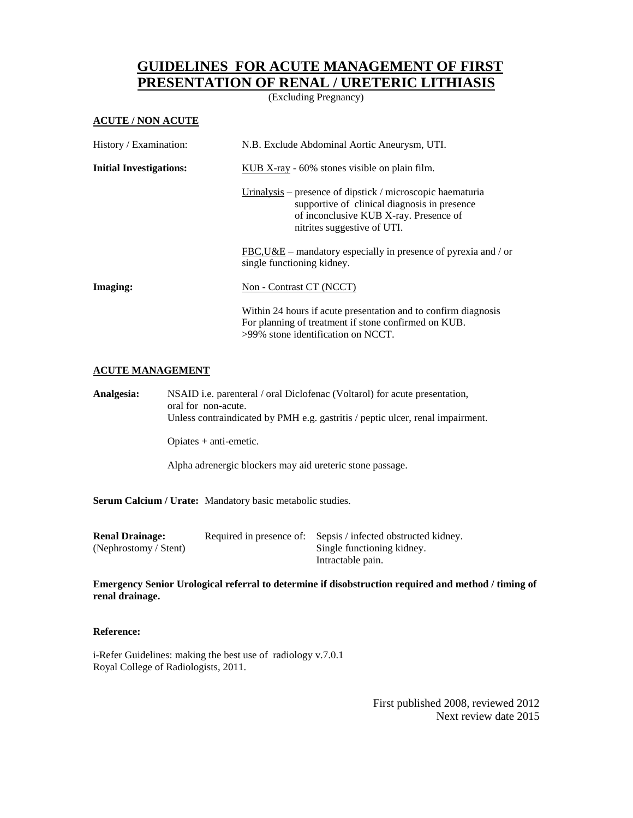## **GUIDELINES FOR ACUTE MANAGEMENT OF FIRST PRESENTATION OF RENAL / URETERIC LITHIASIS**

(Excluding Pregnancy)

## **ACUTE / NON ACUTE**

| History / Examination:         | N.B. Exclude Abdominal Aortic Aneurysm, UTI.                                                                                                                                        |  |
|--------------------------------|-------------------------------------------------------------------------------------------------------------------------------------------------------------------------------------|--|
| <b>Initial Investigations:</b> | KUB X-ray $-60\%$ stones visible on plain film.                                                                                                                                     |  |
|                                | Urinalysis – presence of dipstick / microscopic haematuria<br>supportive of clinical diagnosis in presence<br>of inconclusive KUB X-ray. Presence of<br>nitrites suggestive of UTI. |  |
|                                | $FBC, U&E$ – mandatory especially in presence of pyrexia and / or<br>single functioning kidney.                                                                                     |  |
| Imaging:                       | Non - Contrast CT (NCCT)                                                                                                                                                            |  |
|                                | Within 24 hours if acute presentation and to confirm diagnosis<br>For planning of treatment if stone confirmed on KUB.<br>$>99\%$ stone identification on NCCT.                     |  |

## **ACUTE MANAGEMENT**

**Analgesia:** NSAID i.e. parenteral / oral Diclofenac (Voltarol) for acute presentation, oral for non-acute. Unless contraindicated by PMH e.g. gastritis / peptic ulcer, renal impairment.

Opiates + anti-emetic.

Alpha adrenergic blockers may aid ureteric stone passage.

**Serum Calcium / Urate:** Mandatory basic metabolic studies.

| <b>Renal Drainage:</b> | Required in presence of: Sepsis / infected obstructed kidney. |
|------------------------|---------------------------------------------------------------|
| (Nephrostomy / Stent)  | Single functioning kidney.                                    |
|                        | Intractable pain.                                             |

**Emergency Senior Urological referral to determine if disobstruction required and method / timing of renal drainage.**

## **Reference:**

i-Refer Guidelines: making the best use of radiology v.7.0.1 Royal College of Radiologists, 2011.

> First published 2008, reviewed 2012 Next review date 2015